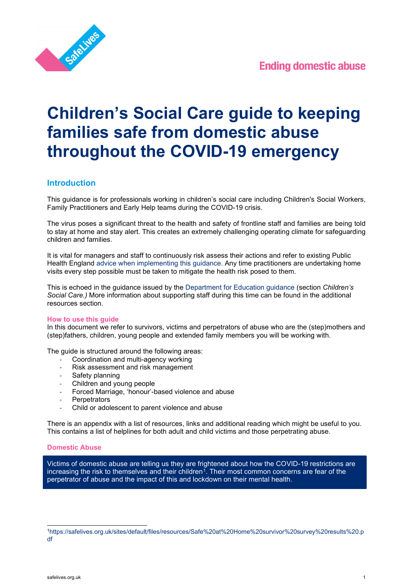

# **Children's Social Care guide to keeping families safe from domestic abuse throughout the COVID-19 emergency**

# **Introduction**

This guidance is for professionals working in children's social care including Children's Social Workers, Family Practitioners and Early Help teams during the COVID-19 crisis.

The virus poses a significant threat to the health and safety of frontline staff and families are being told to stay at home and stay alert. This creates an extremely challenging operating climate for safeguarding children and families.

It is vital for managers and staff to continuously risk assess their actions and refer to existing Public Health England [advice](https://www.gov.uk/government/collections/coronavirus-covid-19-list-of-guidance) when implementing this guidance. Any time practitioners are undertaking home visits every step possible must be taken to mitigate the health risk posed to them.

This is echoed in the guidance issued by the [Department for Education guidance](https://www.gov.uk/government/publications/coronavirus-covid-19-guidance-for-childrens-social-care-services/coronavirus-covid-19-guidance-for-local-authorities-on-childrens-social-care) (section *Children's Social Care.)* More information about supporting staff during this time can be found in the additional resources section.

## **How to use this guide**

In this document we refer to survivors, victims and perpetrators of abuse who are the (step)mothers and (step)fathers, children, young people and extended family members you will be working with.

The guide is structured around the following areas:

- Coordination and multi-agency working
- Risk assessment and risk management
- Safety planning
- Children and young people
- Forced Marriage, 'honour'-based violence and abuse
- **Perpetrators**
- Child or adolescent to parent violence and abuse

There is an appendix with a list of resources, links and additional reading which might be useful to you. This contains a list of helplines for both adult and child victims and those perpetrating abuse.

## **Domestic Abuse**

Victims of domestic abuse are telling us they are frightened about how the COVID-19 restrictions are increasing the risk to themselves and their children<sup>1</sup>. Their most common concerns are fear of the perpetrator of abuse and the impact of this and lockdown on their mental health.

<span id="page-0-0"></span>[<sup>1</sup>https://safelives.org.uk/sites/default/files/resources/Safe%20at%20Home%20survivor%20survey%20results%20.p](https://safelives.org.uk/sites/default/files/resources/Safe%20at%20Home%20survivor%20survey%20results%20.pdf) [df](https://safelives.org.uk/sites/default/files/resources/Safe%20at%20Home%20survivor%20survey%20results%20.pdf)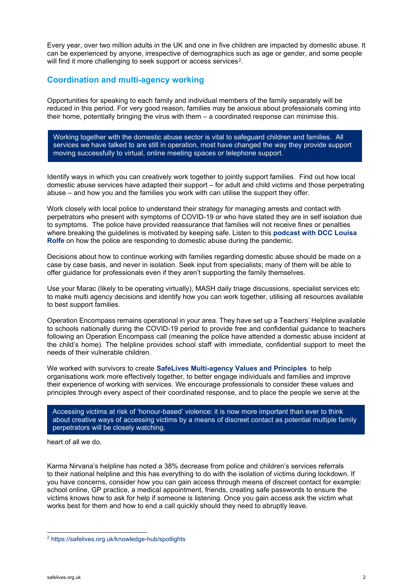Every year, over two million adults in the UK and one in five children are impacted by domestic abuse. It can be experienced by anyone, irrespective of demographics such as age or gender, and some people will find it more challenging to seek support or access services<sup>2</sup>.

# **Coordination and multi-agency working**

Opportunities for speaking to each family and individual members of the family separately will be reduced in this period. For very good reason, families may be anxious about professionals coming into their home, potentially bringing the virus with them – a coordinated response can minimise this.

Working together with the domestic abuse sector is vital to safeguard children and families. All services we have talked to are still in operation, most have changed the way they provide support moving successfully to virtual, online meeting spaces or telephone support.

Identify ways in which you can creatively work together to jointly support families. Find out how local domestic abuse services have adapted their support – for adult and child victims and those perpetrating abuse – and how you and the families you work with can utilise the support they offer.

Work closely with local police to understand their strategy for managing arrests and contact with perpetrators who present with symptoms of COVID-19 or who have stated they are in self isolation due to symptoms. The police have provided reassurance that families will not receive fines or penalties where breaking the guidelines is motivated by keeping safe. Listen to this **[podcast with DCC Louisa](https://soundcloud.com/domestic-abuse-podcast/safe-at-home-the-police-response-with-dcc-louisa-rolfe)  [Rolfe](https://soundcloud.com/domestic-abuse-podcast/safe-at-home-the-police-response-with-dcc-louisa-rolfe)** on how the police are responding to domestic abuse during the pandemic.

Decisions about how to continue working with families regarding domestic abuse should be made on a case by case basis, and never in isolation. Seek input from specialists; many of them will be able to offer guidance for professionals even if they aren't supporting the family themselves.

Use your Marac (likely to be operating virtually), MASH daily triage discussions, specialist services etc to make multi agency decisions and identify how you can work together, utilising all resources available to best support families.

Operation Encompass remains operational in your area. They have set up a Teachers' Helpline available to schools nationally during the COVID-19 period to provide free and confidential guidance to teachers following an Operation Encompass call (meaning the police have attended a domestic abuse incident at the child's home). The helpline provides school staff with immediate, confidential support to meet the needs of their vulnerable children.

We worked with survivors to create **[SafeLives Multi-agency Values and Principles](https://safelives.org.uk/sites/default/files/resources/Multi-agency%20Principles%20Apr%202020.pdf)** to help organisations work more effectively together, to better engage individuals and families and improve their experience of working with services. We encourage professionals to consider these values and principles through every aspect of their coordinated response, and to place the people we serve at the

Accessing victims at risk of 'honour-based' violence: it is now more important than ever to think about creative ways of accessing victims by a means of discreet contact as potential multiple family perpetrators will be closely watching.

heart of all we do.

Karma Nirvana's helpline has noted a 38% decrease from police and children's services referrals to their national helpline and this has everything to do with the isolation of victims during lockdown. If you have concerns, consider how you can gain access through means of discreet contact for example: school online, GP practice, a medical appointment, friends, creating safe passwords to ensure the victims knows how to ask for help if someone is listening. Once you gain access ask the victim what works best for them and how to end a call quickly should they need to abruptly leave.

<span id="page-1-0"></span><sup>2</sup> <https://safelives.org.uk/knowledge-hub/spotlights>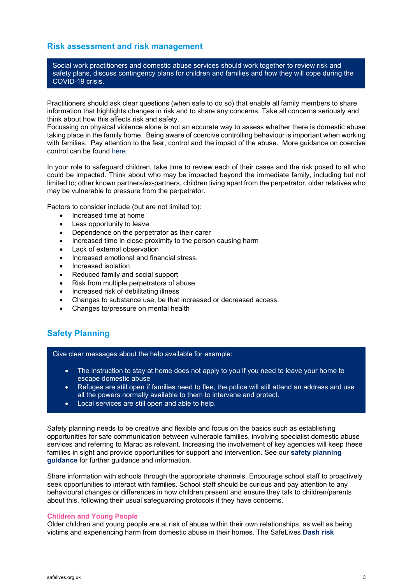## **Risk assessment and risk management**

Social work practitioners and domestic abuse services should work together to review risk and safety plans, discuss contingency plans for children and families and how they will cope during the COVID-19 crisis.

Practitioners should ask clear questions (when safe to do so) that enable all family members to share information that highlights changes in risk and to share any concerns. Take all concerns seriously and think about how this affects risk and safety.

Focussing on physical violence alone is not an accurate way to assess whether there is domestic abuse taking place in the family home. Being aware of coercive controlling behaviour is important when working with families. Pay attention to the fear, control and the impact of the abuse. More guidance on coercive control can be found [here.](https://safelives.org.uk/practice_blog/introduction-coercive-control)

In your role to safeguard children, take time to review each of their cases and the risk posed to all who could be impacted. Think about who may be impacted beyond the immediate family, including but not limited to; other known partners/ex-partners, children living apart from the perpetrator, older relatives who may be vulnerable to pressure from the perpetrator.

Factors to consider include (but are not limited to):

- Increased time at home
- Less opportunity to leave
- Dependence on the perpetrator as their carer
- Increased time in close proximity to the person causing harm
- Lack of external observation
- Increased emotional and financial stress.
- Increased isolation
- Reduced family and social support
- Risk from multiple perpetrators of abuse
- Increased risk of debilitating illness
- Changes to substance use, be that increased or decreased access.
- Changes to/pressure on mental health

# **Safety Planning**

Give clear messages about the help available for example:

- The instruction to stay at home does not apply to you if you need to leave your home to escape domestic abuse
- Refuges are still open if families need to flee, the police will still attend an address and use all the powers normally available to them to intervene and protect.
- Local services are still open and able to help.

Safety planning needs to be creative and flexible and focus on the basics such as establishing opportunities for safe communication between vulnerable families, involving specialist domestic abuse services and referring to Marac as relevant. Increasing the involvement of key agencies will keep these families in sight and provide opportunities for support and intervention. See our **[safety planning](https://safelives.org.uk/sites/default/files/resources/Safety%20planning%20guide,%20victims%20and%20survivors,%20COVID-19.pdf)  [guidance](https://safelives.org.uk/sites/default/files/resources/Safety%20planning%20guide,%20victims%20and%20survivors,%20COVID-19.pdf)** for further guidance and information.

Share information with schools through the appropriate channels. Encourage school staff to proactively seek opportunities to interact with families. School staff should be curious and pay attention to any behavioural changes or differences in how children present and ensure they talk to children/parents about this, following their usual safeguarding protocols if they have concerns.

## **Children and Young People**

Older children and young people are at risk of abuse within their own relationships, as well as being victims and experiencing harm from domestic abuse in their homes. The SafeLives **[Dash risk](https://safelives.org.uk/sites/default/files/resources/YP%20RIC%20guidance%20FINAL%20%281%29.pdf)**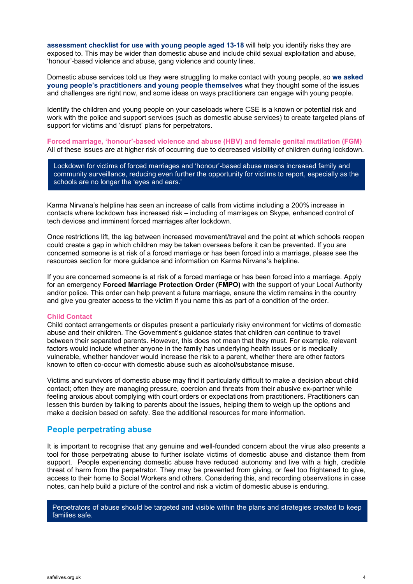**assessment checklist [for use with young people aged 13-18](https://safelives.org.uk/sites/default/files/resources/YP%20RIC%20guidance%20FINAL%20%281%29.pdf)** will help you identify risks they are exposed to. This may be wider than domestic abuse and include child sexual exploitation and abuse, 'honour'-based violence and abuse, gang violence and county lines.

Domestic abuse services told us they were struggling to make contact with young people, so **[we asked](https://safelives.org.uk/sites/default/files/resources/YP%20guidance%20covid-19.pdf)  [young people's practitioners and young people themselves](https://safelives.org.uk/sites/default/files/resources/YP%20guidance%20covid-19.pdf)** what they thought some of the issues and challenges are right now, and some ideas on ways practitioners can engage with young people.

Identify the children and young people on your caseloads where CSE is a known or potential risk and work with the police and support services (such as domestic abuse services) to create targeted plans of support for victims and 'disrupt' plans for perpetrators.

**Forced marriage, 'honour'-based violence and abuse (HBV) and female genital mutilation (FGM)**  All of these issues are at higher risk of occurring due to decreased visibility of children during lockdown.

Lockdown for victims of forced marriages and 'honour'-based abuse means increased family and community surveillance, reducing even further the opportunity for victims to report, especially as the schools are no longer the 'eyes and ears.'

Karma Nirvana's helpline has seen an increase of calls from victims including a 200% increase in contacts where lockdown has increased risk – including of marriages on Skype, enhanced control of tech devices and imminent forced marriages after lockdown.

Once restrictions lift, the lag between increased movement/travel and the point at which schools reopen could create a gap in which children may be taken overseas before it can be prevented. If you are concerned someone is at risk of a forced marriage or has been forced into a marriage, please see the resources section for more guidance and information on Karma Nirvana's helpline.

If you are concerned someone is at risk of a forced marriage or has been forced into a marriage. Apply for an emergency **Forced Marriage Protection Order (FMPO)** with the support of your Local Authority and/or police. This order can help prevent a future marriage, ensure the victim remains in the country and give you greater access to the victim if you name this as part of a condition of the order.

#### **Child Contact**

Child contact arrangements or disputes present a particularly risky environment for victims of domestic abuse and their children. The Government's guidance states that children *can* continue to travel between their separated parents. However, this does not mean that they must. For example, relevant factors would include whether anyone in the family has underlying health issues or is medically vulnerable, whether handover would increase the risk to a parent, whether there are other factors known to often co-occur with domestic abuse such as alcohol/substance misuse.

Victims and survivors of domestic abuse may find it particularly difficult to make a decision about child contact; often they are managing pressure, coercion and threats from their abusive ex-partner while feeling anxious about complying with court orders or expectations from practitioners. Practitioners can lessen this burden by talking to parents about the issues, helping them to weigh up the options and make a decision based on safety. See the additional resources for more information.

## **People perpetrating abuse**

It is important to recognise that any genuine and well-founded concern about the virus also presents a tool for those perpetrating abuse to further isolate victims of domestic abuse and distance them from support. People experiencing domestic abuse have reduced autonomy and live with a high, credible threat of harm from the perpetrator. They may be prevented from giving, or feel too frightened to give, access to their home to Social Workers and others. Considering this, and recording observations in case notes, can help build a picture of the control and risk a victim of domestic abuse is enduring.

Perpetrators of abuse should be targeted and visible within the plans and strategies created to keep families safe.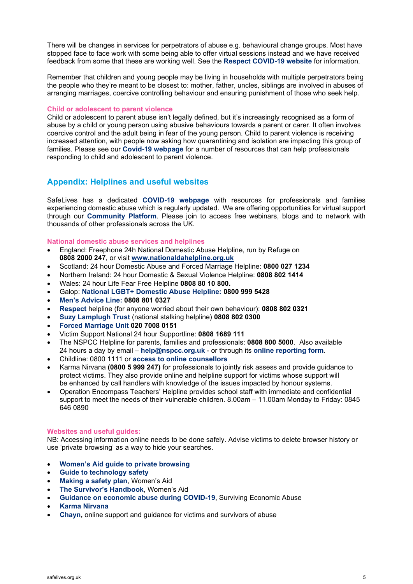There will be changes in services for perpetrators of abuse e.g. behavioural change groups. Most have stopped face to face work with some being able to offer virtual sessions instead and we have received feedback from some that these are working well. See the **[Respect COVID-19 website](https://www.respect.uk.net/pages/15-covid-19)** for information.

Remember that children and young people may be living in households with multiple perpetrators being the people who they're meant to be closest to: mother, father, uncles, siblings are involved in abuses of arranging marriages, coercive controlling behaviour and ensuring punishment of those who seek help.

#### **Child or adolescent to parent violence**

Child or adolescent to parent abuse isn't legally defined, but it's increasingly recognised as a form of abuse by a child or young person using abusive behaviours towards a parent or carer. It often involves coercive control and the adult being in fear of the young person. Child to parent violence is receiving increased attention, with people now asking how quarantining and isolation are impacting this group of families. Please see our **[Covid-19 webpage](https://safelives.org.uk/news-views/domestic-abuse-and-covid-19)** for a number of resources that can help professionals responding to child and adolescent to parent violence.

## **Appendix: Helplines and useful websites**

SafeLives has a dedicated **[COVID-19 webpage](https://safelives.org.uk/news-views/domestic-abuse-and-covid-19)** with resources for professionals and families experiencing domestic abuse which is regularly updated. We are offering opportunities for virtual support through our **[Community Platform](https://community.safelives.org.uk/default.aspx)**. Please join to access free webinars, blogs and to network with thousands of other professionals across the UK.

#### **National domestic abuse services and helplines**

- England: Freephone 24h National Domestic Abuse Helpline, run by Refuge on **0808 2000 247**, or visit **[www.nationaldahelpline.org.uk](http://www.nationaldahelpline.org.uk/)**
- Scotland: 24 hour Domestic Abuse and Forced Marriage Helpline: **0800 027 1234**
- Northern Ireland: 24 hour Domestic & Sexual Violence Helpline: **0808 802 1414**
- Wales: 24 hour Life Fear Free Helpline **0808 80 10 800.**
- Galop: **[National LGBT+ Domestic Abuse Helpline:](http://www.galop.org.uk/) 0800 999 5428**
- **[Men's Advice Line:](https://mensadviceline.org.uk/) 0808 801 0327**
- **[Respect](http://respect.uk.net/)** helpline (for anyone worried about their own behaviour): **0808 802 0321**
- **[Suzy Lamplugh Trust](https://www.suzylamplugh.org/)** (national stalking helpline) **[0808 802 0300](tel:08088020300)**
- **[Forced Marriage Unit](https://www.gov.uk/guidance/forced-marriage) 020 7008 0151**
- Victim Support National 24 hour Supportline: **0808 1689 111**
- The NSPCC Helpline for parents, families and professionals: **0808 800 5000**. Also available 24 hours a day by email – **[help@nspcc.org.uk](mailto:help@nspcc.org.uk)** - or through its **[online reporting form](https://www.nspcc.org.uk/keeping-children-safe/reporting-abuse/report/)**.
- Childline: 0800 1111 or **access to online counsellors**
- Karma Nirvana **(0800 5 999 247)** for professionals to jointly risk assess and provide guidance to protect victims. They also provide online and helpline support for victims whose support will be enhanced by call handlers with knowledge of the issues impacted by honour systems.
- Operation Encompass Teachers' Helpline provides school staff with immediate and confidential support to meet the needs of their vulnerable children. 8.00am – 11.00am Monday to Friday: 0845 646 0890

#### **Websites and useful guides:**

NB: Accessing information online needs to be done safely. Advise victims to delete browser history or use 'private browsing' as a way to hide your searches.

- **[Women's Aid guide to private browsing](https://www.womensaid.org.uk/cover-your-tracks-online/)**
- **[Guide to technology safety](https://www.techsafety.org/resources-survivors)**
- **[Making a safety plan](https://www.womensaid.org.uk/the-survivors-handbook/making-a-safety-plan/)**, Women's Aid
- **[The Survivor's Handbook](https://www.womensaid.org.uk/the-survivors-handbook/)**, Women's Aid
- **[Guidance on economic abuse during COVID-19](https://survivingeconomicabuse.org/resources/)**, Surviving Economic Abuse
- **[Karma Nirvana](https://karmanirvana.org.uk/)**
- **[Chayn,](https://chayn.co/)** online support and guidance for victims and survivors of abuse